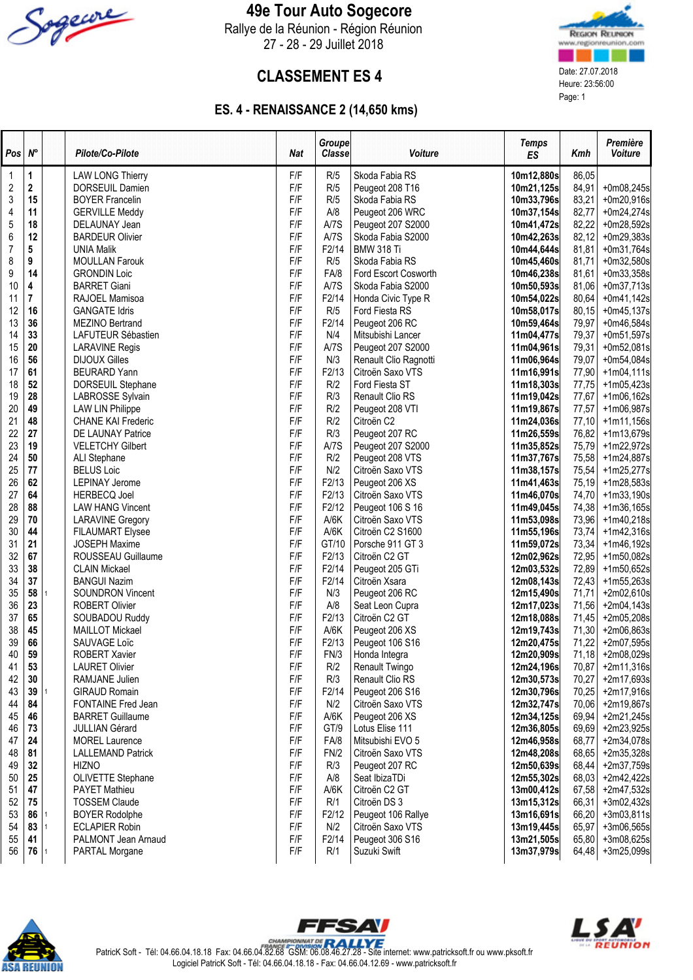

### 49e Tour Auto Sogecore

Rallye de la Réunion - Région Réunion 27 - 28 - 29 Juillet 2018



## **CLASSEMENT ES 4** Date:  $27.07.2018$  Date:  $27.07.2018$  Heure:  $23.56:00$

### ES. 4 - RENAISSANCE 2 (14,650 kms)

| Pos      | $N^{\circ}$ |    | Pilote/Co-Pilote                              | <b>Nat</b> | Groupe<br>Classe | Voiture                                | <b>Temps</b><br><b>ES</b> | Kmh            | Première<br><b>Voiture</b>   |
|----------|-------------|----|-----------------------------------------------|------------|------------------|----------------------------------------|---------------------------|----------------|------------------------------|
| 1        | 1           |    | <b>LAW LONG Thierry</b>                       | F/F        | R/5              | Skoda Fabia RS                         | 10m12,880s                | 86,05          |                              |
| 2        | 2           |    | DORSEUIL Damien                               | F/F        | R/5              | Peugeot 208 T16                        | 10m21,125s                | 84,91          | $+0m08,245s$                 |
| 3        | 15          |    | <b>BOYER Francelin</b>                        | F/F        | R/5              | Skoda Fabia RS                         | 10m33,796s                | 83,21          | $+0m20,916s$                 |
| 4        | 11          |    | <b>GERVILLE Meddy</b>                         | F/F        | A/8              | Peugeot 206 WRC                        | 10m37,154s                | 82,77          | $+0m24,274s$                 |
| 5        | 18          |    | DELAUNAY Jean                                 | F/F        | A/7S             | Peugeot 207 S2000                      | 10m41,472s                | 82,22          | $+0m28,592s$                 |
| 6        | 12          |    | <b>BARDEUR Olivier</b>                        | F/F        | A/7S             | Skoda Fabia S2000                      | 10m42,263s                | 82,12          | $+0m29,383s$                 |
| 7        | 5           |    | <b>UNIA Malik</b>                             | F/F        | F2/14            | <b>BMW 318 Ti</b>                      | 10m44,644s                | 81,81          | $+0m31,764s$                 |
| 8        | 9           |    | <b>MOULLAN Farouk</b>                         | F/F        | R/5              | Skoda Fabia RS                         | 10m45,460s                | 81,71          | $+0m32,580s$                 |
| 9        | 14          |    | <b>GRONDIN Loic</b>                           | F/F        | FA/8             | Ford Escort Cosworth                   | 10m46,238s                | 81,61          | $+0m33,358s$                 |
| 10       | 4           |    | <b>BARRET Giani</b>                           | F/F        | A/7S             | Skoda Fabia S2000                      | 10m50,593s                | 81,06          | $+0m37,713s$                 |
| 11       | 7           |    | RAJOEL Mamisoa                                | F/F        | F2/14            | Honda Civic Type R                     | 10m54,022s                | 80,64          | $+0m41,142s$                 |
| 12       | 16          |    | <b>GANGATE Idris</b>                          | F/F        | R/5              | Ford Fiesta RS                         | 10m58,017s                | 80,15          | $+0m45,137s$                 |
| 13<br>14 | 36<br>33    |    | MEZINO Bertrand                               | F/F<br>F/F | F2/14<br>N/4     | Peugeot 206 RC                         | 10m59,464s                | 79,97          | $+0m46,584s$                 |
| 15       | 20          |    | LAFUTEUR Sébastien                            | F/F        | A/7S             | Mitsubishi Lancer<br>Peugeot 207 S2000 | 11m04,477s<br>11m04,961s  | 79,37<br>79,31 | $+0m51,597s$<br>$+0m52,081s$ |
| 16       | 56          |    | <b>LARAVINE Regis</b><br><b>DIJOUX Gilles</b> | F/F        | N/3              | Renault Clio Ragnotti                  | 11m06,964s                | 79,07          | $+0m54,084s$                 |
| 17       | 61          |    | <b>BEURARD Yann</b>                           | F/F        | F2/13            | Citroën Saxo VTS                       | 11m16,991s                | 77,90          | $+1m04,111s$                 |
| 18       | 52          |    | DORSEUIL Stephane                             | F/F        | R/2              | Ford Fiesta ST                         | 11m18,303s                | 77,75          | $+1m05,423s$                 |
| 19       | 28          |    | LABROSSE Sylvain                              | F/F        | R/3              | Renault Clio RS                        | 11m19,042s                | 77,67          | $+1m06,162s$                 |
| 20       | 49          |    | <b>LAW LIN Philippe</b>                       | F/F        | R/2              | Peugeot 208 VTI                        | 11m19,867s                | 77,57          | $+1m06,987s$                 |
| 21       | 48          |    | <b>CHANE KAI Frederic</b>                     | F/F        | R/2              | Citroën C2                             | 11m24,036s                | 77,10          | $+1m11,156s$                 |
| 22       | 27          |    | DE LAUNAY Patrice                             | F/F        | R/3              | Peugeot 207 RC                         | 11m26,559s                | 76,82          | $+1m13,679s$                 |
| 23       | 19          |    | <b>VELETCHY Gilbert</b>                       | F/F        | A/7S             | Peugeot 207 S2000                      | 11m35,852s                | 75,79          | $+1m22,972s$                 |
| 24       | 50          |    | ALI Stephane                                  | F/F        | R/2              | Peugeot 208 VTS                        | 11m37,767s                | 75,58          | $+1m24,887s$                 |
| 25       | 77          |    | <b>BELUS Loic</b>                             | F/F        | N/2              | Citroën Saxo VTS                       | 11m38,157s                | 75,54          | $+1m25,277s$                 |
| 26       | 62          |    | <b>LEPINAY Jerome</b>                         | F/F        | F2/13            | Peugeot 206 XS                         | 11m41,463s                | 75,19          | $+1m28,583s$                 |
| 27       | 64          |    | <b>HERBECQ Joel</b>                           | F/F        | F2/13            | Citroën Saxo VTS                       | 11m46,070s                | 74,70          | $+1m33,190s$                 |
| 28       | 88          |    | <b>LAW HANG Vincent</b>                       | F/F        | F2/12            | Peugeot 106 S 16                       | 11m49,045s                | 74,38          | $+1m36,165s$                 |
| 29       | 70          |    | <b>LARAVINE Gregory</b>                       | F/F        | A/6K             | Citroën Saxo VTS                       | 11m53,098s                | 73,96          | +1m40,218s                   |
| 30       | 44          |    | <b>FILAUMART Elysee</b>                       | F/F        | A/6K             | Citroën C2 S1600                       | 11m55,196s                | 73,74          | $+1m42,316s$                 |
| 31       | 21          |    | <b>JOSEPH Maxime</b>                          | F/F        | GT/10            | Porsche 911 GT 3                       | 11m59,072s                | 73,34          | $+1m46,192s$                 |
| 32       | 67          |    | ROUSSEAU Guillaume                            | F/F        | F2/13            | Citroën C2 GT                          | 12m02,962s                | 72,95          | $+1m50,082s$                 |
| 33       | 38          |    | <b>CLAIN Mickael</b>                          | F/F        | F2/14            | Peugeot 205 GTi                        | 12m03,532s                | 72,89          | $+1m50,652s$                 |
| 34       | 37          |    | <b>BANGUI Nazim</b>                           | F/F        | F2/14            | Citroën Xsara                          | 12m08,143s                | 72,43          | $+1m55,263s$                 |
| 35       | 58          |    | <b>SOUNDRON Vincent</b>                       | F/F        | N/3              | Peugeot 206 RC                         | 12m15,490s                | 71,71          | $+2m02,610s$                 |
| 36       | 23          |    | <b>ROBERT Olivier</b>                         | F/F<br>F/F | A/8              | Seat Leon Cupra                        | 12m17,023s                | 71,56          | +2m04,143s                   |
| 37<br>38 | 65<br>45    |    | SOUBADOU Ruddy<br><b>MAILLOT Mickael</b>      | F/F        | F2/13<br>A/6K    | Citroën C2 GT<br>Peugeot 206 XS        | 12m18,088s                | 71,45<br>71,30 | +2m05,208s                   |
| 39       | 66          |    | SAUVAGE Loïc                                  | F/F        | F2/13            | Peugeot 106 S16                        | 12m19,743s<br>12m20,475s  | 71,22          | $+2m06,863s$<br>+2m07,595s   |
| 40       | 59          |    | ROBERT Xavier                                 | F/F        | FN/3             | Honda Integra                          | 12m20,909s                | 71,18          | +2m08,029s                   |
| 41       | 53          |    | <b>LAURET Olivier</b>                         | F/F        | R/2              | Renault Twingo                         | 12m24,196s                | 70,87          | $+2m11,316s$                 |
| 42       | 30          |    | RAMJANE Julien                                | F/F        | R/3              | Renault Clio RS                        | 12m30,573s                | 70,27          | +2m17,693s                   |
| 43       | 39          |    | <b>GIRAUD Romain</b>                          | F/F        | F2/14            | Peugeot 206 S16                        | 12m30,796s                | 70,25          | $+2m17,916s$                 |
| 44       | 84          |    | FONTAINE Fred Jean                            | F/F        | N/2              | Citroën Saxo VTS                       | 12m32,747s                | 70,06          | +2m19,867s                   |
| 45       | 46          |    | <b>BARRET Guillaume</b>                       | F/F        | A/6K             | Peugeot 206 XS                         | 12m34,125s                | 69,94          | $+2m21,245s$                 |
| 46       | 73          |    | <b>JULLIAN Gérard</b>                         | F/F        | GT/9             | Lotus Elise 111                        | 12m36,805s                | 69,69          | $+2m23,925s$                 |
| 47       | 24          |    | <b>MOREL Laurence</b>                         | F/F        | FA/8             | Mitsubishi EVO 5                       | 12m46,958s                | 68,77          | +2m34,078s                   |
| 48       | 81          |    | <b>LALLEMAND Patrick</b>                      | F/F        | FN/2             | Citroën Saxo VTS                       | 12m48,208s                | 68,65          | +2m35,328s                   |
| 49       | 32          |    | <b>HIZNO</b>                                  | F/F        | R/3              | Peugeot 207 RC                         | 12m50,639s                | 68,44          | $+2m37,759s$                 |
| 50       | 25          |    | OLIVETTE Stephane                             | F/F        | A/8              | Seat IbizaTDi                          | 12m55,302s                | 68,03          | $+2m42,422s$                 |
| 51       | 47          |    | PAYET Mathieu                                 | F/F        | A/6K             | Citroën C2 GT                          | 13m00,412s                | 67,58          | $+2m47,532s$                 |
| 52       | 75          |    | <b>TOSSEM Claude</b>                          | F/F        | R/1              | Citroën DS 3                           | 13m15,312s                | 66,31          | $+3m02,432s$                 |
| 53       | 86          |    | <b>BOYER Rodolphe</b>                         | F/F        | F2/12            | Peugeot 106 Rallye                     | 13m16,691s                | 66,20          | $+3m03,811s$                 |
| 54       | 83          |    | <b>ECLAPIER Robin</b>                         | F/F        | N/2              | Citroën Saxo VTS                       | 13m19,445s                | 65,97          | $+3m06,565s$                 |
| 55       | 41          |    | PALMONT Jean Arnaud                           | F/F        | F2/14            | Peugeot 306 S16                        | 13m21,505s                | 65,80          | $+3m08,625s$                 |
| 56       | 76          | -1 | PARTAL Morgane                                | F/F        | R/1              | Suzuki Swift                           | 13m37,979s                | 64,48          | $+3m25,099s$                 |





PatricK Soft - Tél: 04.66.04.18.18 Fax: 04.66.04.82.68 GSM: 06.08.46.27.28 - Site internet: www.patricksoft.fr ou www.pksoft.fr Logiciel PatricK Soft - Tél: 04.66.04.18.18 - Fax: 04.66.04.12.69 - www.patricksoft.fr

FFSAV